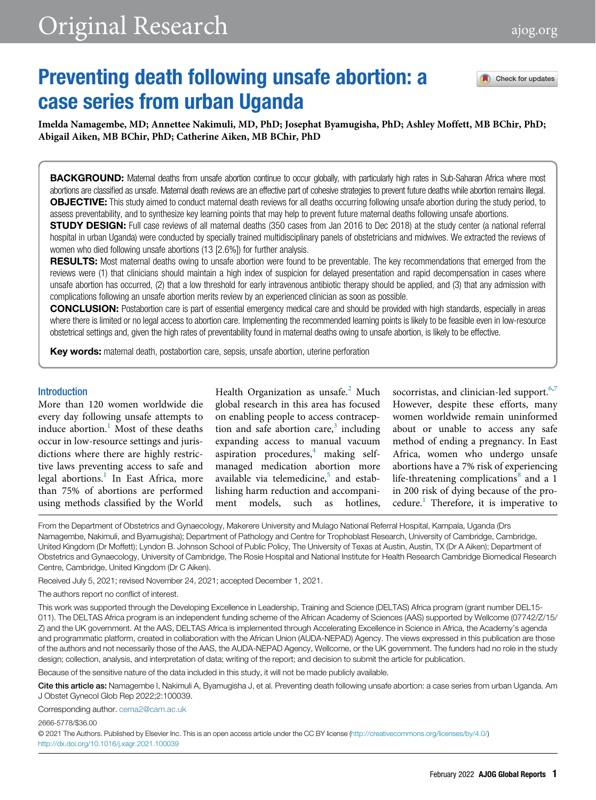# Preventing death following unsafe abortion: a case series from urban Uganda

Check for updates

Imelda Namagembe, MD; Annettee Nakimuli, MD, PhD; Josephat Byamugisha, PhD; Ashley Moffett, MB BChir, PhD; Abigail Aiken, MB BChir, PhD; Catherine Aiken, MB BChir, PhD

BACKGROUND: Maternal deaths from unsafe abortion continue to occur globally, with particularly high rates in Sub-Saharan Africa where most abortions are classified as unsafe. Maternal death reviews are an effective part of cohesive strategies to prevent future deaths while abortion remains illegal. OBJECTIVE: This study aimed to conduct maternal death reviews for all deaths occurring following unsafe abortion during the study period, to assess preventability, and to synthesize key learning points that may help to prevent future maternal deaths following unsafe abortions.

**STUDY DESIGN:** Full case reviews of all maternal deaths (350 cases from Jan 2016 to Dec 2018) at the study center (a national referral hospital in urban Uganda) were conducted by specially trained multidisciplinary panels of obstetricians and midwives. We extracted the reviews of women who died following unsafe abortions (13 [2.6%]) for further analysis.

RESULTS: Most maternal deaths owing to unsafe abortion were found to be preventable. The key recommendations that emerged from the reviews were (1) that clinicians should maintain a high index of suspicion for delayed presentation and rapid decompensation in cases where unsafe abortion has occurred, (2) that a low threshold for early intravenous antibiotic therapy should be applied, and (3) that any admission with complications following an unsafe abortion merits review by an experienced clinician as soon as possible.

CONCLUSION: Postabortion care is part of essential emergency medical care and should be provided with high standards, especially in areas where there is limited or no legal access to abortion care. Implementing the recommended learning points is likely to be feasible even in low-resource obstetrical settings and, given the high rates of preventability found in maternal deaths owing to unsafe abortion, is likely to be effective.

Key words: maternal death, postabortion care, sepsis, unsafe abortion, uterine perforation

#### **Introduction**

More than 120 women worldwide die every day following unsafe attempts to induce abortion.<sup>[1](#page-5-0)</sup> Most of these deaths occur in low-resource settings and jurisdictions where there are highly restrictive laws preventing access to safe and legal abortions.<sup>[1](#page-5-0)</sup> In East Africa, more than 75% of abortions are performed using methods classified by the World Health Organization as unsafe. $<sup>2</sup>$  $<sup>2</sup>$  $<sup>2</sup>$  Much</sup> global research in this area has focused on enabling people to access contraception and safe abortion care, $3$  including expanding access to manual vacuum aspiration procedures,<sup>[4](#page-5-3)</sup> making selfmanaged medication abortion more available via telemedicine, $5$  and establishing harm reduction and accompaniment models, such as hotlines, socorristas, and clinician-led support. $6,7$  $6,7$ However, despite these efforts, many women worldwide remain uninformed about or unable to access any safe method of ending a pregnancy. In East Africa, women who undergo unsafe abortions have a 7% risk of experiencing life-threatening complications $8$  and a 1 in 200 risk of dying because of the pro-cedure.<sup>[1](#page-5-0)</sup> Therefore, it is imperative to

From the Department of Obstetrics and Gynaecology, Makerere University and Mulago National Referral Hospital, Kampala, Uganda (Drs Namagembe, Nakimuli, and Byamugisha); Department of Pathology and Centre for Trophoblast Research, University of Cambridge, Cambridge, United Kingdom (Dr Moffett); Lyndon B. Johnson School of Public Policy, The University of Texas at Austin, Austin, TX (Dr A Aiken); Department of Obstetrics and Gynaecology, University of Cambridge, The Rosie Hospital and National Institute for Health Research Cambridge Biomedical Research Centre, Cambridge, United Kingdom (Dr C Aiken).

Received July 5, 2021; revised November 24, 2021; accepted December 1, 2021.

The authors report no conflict of interest.

This work was supported through the Developing Excellence in Leadership, Training and Science (DELTAS) Africa program (grant number DEL15- 011). The DELTAS Africa program is an independent funding scheme of the African Academy of Sciences (AAS) supported by Wellcome (07742/Z/15/ Z) and the UK government. At the AAS, DELTAS Africa is implemented through Accelerating Excellence in Science in Africa, the Academy's agenda and programmatic platform, created in collaboration with the African Union (AUDA-NEPAD) Agency. The views expressed in this publication are those of the authors and not necessarily those of the AAS, the AUDA-NEPAD Agency, Wellcome, or the UK government. The funders had no role in the study design; collection, analysis, and interpretation of data; writing of the report; and decision to submit the article for publication.

Because of the sensitive nature of the data included in this study, it will not be made publicly available.

Cite this article as: Namagembe I, Nakimuli A, Byamugisha J, et al. Preventing death following unsafe abortion: a case series from urban Uganda. Am J Obstet Gynecol Glob Rep 2022;2:100039.

Corresponding author. [cema2@cam.ac.uk](mailto:Corresponding author.)

2666-5778/\$36.00

© 2021 The Authors. Published by Elsevier Inc. This is an open access article under the CC BY license [\(http://creativecommons.org/licenses/by/4.0/](http://creativecommons.org/licenses/by/4.0/)) <http://dx.doi.org/10.1016/j.xagr.2021.100039>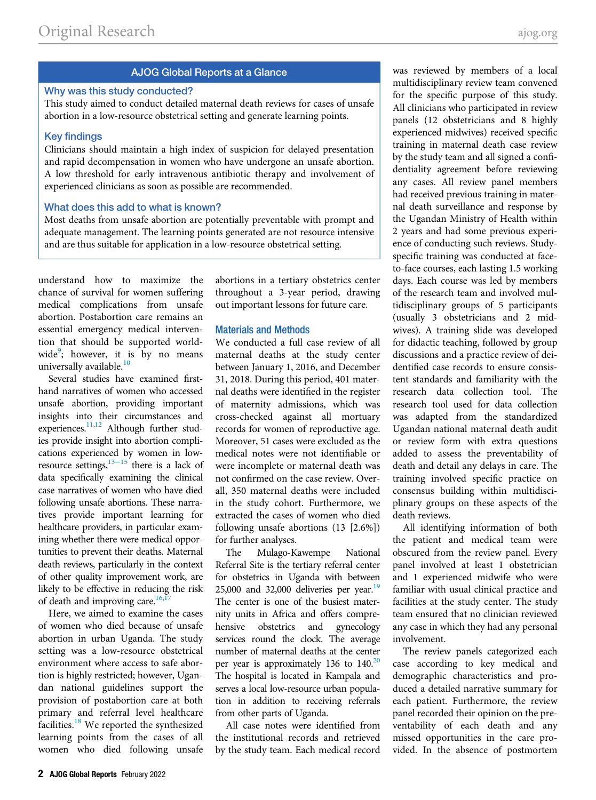# AJOG Global Reports at a Glance

#### Why was this study conducted?

This study aimed to conduct detailed maternal death reviews for cases of unsafe abortion in a low-resource obstetrical setting and generate learning points.

#### Key findings

Clinicians should maintain a high index of suspicion for delayed presentation and rapid decompensation in women who have undergone an unsafe abortion. A low threshold for early intravenous antibiotic therapy and involvement of experienced clinicians as soon as possible are recommended.

# What does this add to what is known?

Most deaths from unsafe abortion are potentially preventable with prompt and adequate management. The learning points generated are not resource intensive and are thus suitable for application in a low-resource obstetrical setting.

understand how to maximize the chance of survival for women suffering medical complications from unsafe abortion. Postabortion care remains an essential emergency medical intervention that should be supported world-wide<sup>[9](#page-5-8)</sup>; however, it is by no means universally available.<sup>[10](#page-5-9)</sup>

Several studies have examined firsthand narratives of women who accessed unsafe abortion, providing important insights into their circumstances and experiences.<sup>11,[12](#page-5-11)</sup> Although further studies provide insight into abortion complications experienced by women in lowresource settings, $13-15$  there is a lack of data specifically examining the clinical case narratives of women who have died following unsafe abortions. These narratives provide important learning for healthcare providers, in particular examining whether there were medical opportunities to prevent their deaths. Maternal death reviews, particularly in the context of other quality improvement work, are likely to be effective in reducing the risk of death and improving care. $16,17$  $16,17$ 

Here, we aimed to examine the cases of women who died because of unsafe abortion in urban Uganda. The study setting was a low-resource obstetrical environment where access to safe abortion is highly restricted; however, Ugandan national guidelines support the provision of postabortion care at both primary and referral level healthcare facilities.[18](#page-6-2) We reported the synthesized learning points from the cases of all women who died following unsafe

abortions in a tertiary obstetrics center throughout a 3-year period, drawing out important lessons for future care.

# Materials and Methods

We conducted a full case review of all maternal deaths at the study center between January 1, 2016, and December 31, 2018. During this period, 401 maternal deaths were identified in the register of maternity admissions, which was cross-checked against all mortuary records for women of reproductive age. Moreover, 51 cases were excluded as the medical notes were not identifiable or were incomplete or maternal death was not confirmed on the case review. Overall, 350 maternal deaths were included in the study cohort. Furthermore, we extracted the cases of women who died following unsafe abortions (13 [2.6%]) for further analyses.

The Mulago-Kawempe National Referral Site is the tertiary referral center for obstetrics in Uganda with between  $25,000$  and  $32,000$  deliveries per year.<sup>[19](#page-6-3)</sup> The center is one of the busiest maternity units in Africa and offers comprehensive obstetrics and gynecology services round the clock. The average number of maternal deaths at the center per year is approximately 136 to  $140^{20}$  $140^{20}$  $140^{20}$ The hospital is located in Kampala and serves a local low-resource urban population in addition to receiving referrals from other parts of Uganda.

All case notes were identified from the institutional records and retrieved by the study team. Each medical record was reviewed by members of a local multidisciplinary review team convened for the specific purpose of this study. All clinicians who participated in review panels (12 obstetricians and 8 highly experienced midwives) received specific training in maternal death case review by the study team and all signed a confidentiality agreement before reviewing any cases. All review panel members had received previous training in maternal death surveillance and response by the Ugandan Ministry of Health within 2 years and had some previous experience of conducting such reviews. Studyspecific training was conducted at faceto-face courses, each lasting 1.5 working days. Each course was led by members of the research team and involved multidisciplinary groups of 5 participants (usually 3 obstetricians and 2 midwives). A training slide was developed for didactic teaching, followed by group discussions and a practice review of deidentified case records to ensure consistent standards and familiarity with the research data collection tool. The research tool used for data collection was adapted from the standardized Ugandan national maternal death audit or review form with extra questions added to assess the preventability of death and detail any delays in care. The training involved specific practice on consensus building within multidisciplinary groups on these aspects of the death reviews.

All identifying information of both the patient and medical team were obscured from the review panel. Every panel involved at least 1 obstetrician and 1 experienced midwife who were familiar with usual clinical practice and facilities at the study center. The study team ensured that no clinician reviewed any case in which they had any personal involvement.

The review panels categorized each case according to key medical and demographic characteristics and produced a detailed narrative summary for each patient. Furthermore, the review panel recorded their opinion on the preventability of each death and any missed opportunities in the care provided. In the absence of postmortem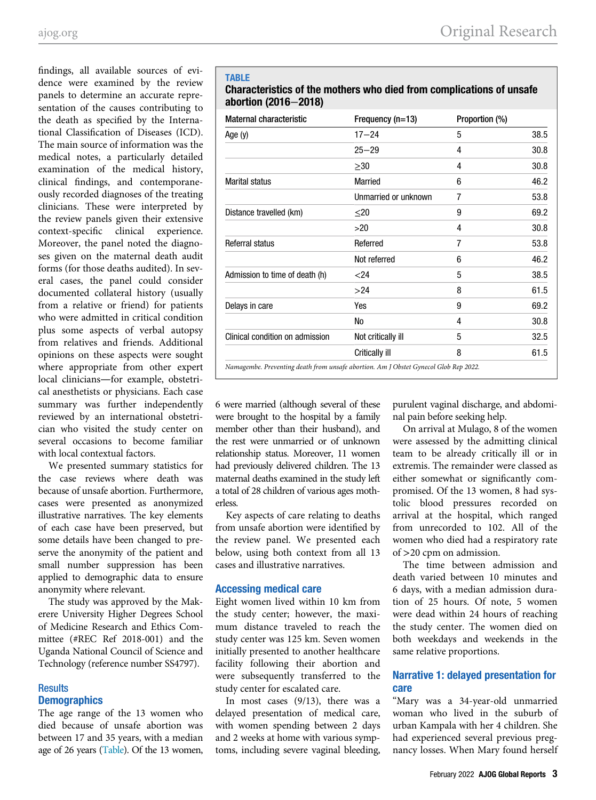<span id="page-2-0"></span>findings, all available sources of evidence were examined by the review panels to determine an accurate representation of the causes contributing to the death as specified by the International Classification of Diseases (ICD). The main source of information was the medical notes, a particularly detailed examination of the medical history, clinical findings, and contemporaneously recorded diagnoses of the treating clinicians. These were interpreted by the review panels given their extensive context-specific clinical experience. Moreover, the panel noted the diagnoses given on the maternal death audit forms (for those deaths audited). In several cases, the panel could consider documented collateral history (usually from a relative or friend) for patients who were admitted in critical condition plus some aspects of verbal autopsy from relatives and friends. Additional opinions on these aspects were sought where appropriate from other expert local clinicians—for example, obstetrical anesthetists or physicians. Each case summary was further independently reviewed by an international obstetrician who visited the study center on several occasions to become familiar with local contextual factors.

We presented summary statistics for the case reviews where death was because of unsafe abortion. Furthermore, cases were presented as anonymized illustrative narratives. The key elements of each case have been preserved, but some details have been changed to preserve the anonymity of the patient and small number suppression has been applied to demographic data to ensure anonymity where relevant.

The study was approved by the Makerere University Higher Degrees School of Medicine Research and Ethics Committee (#REC Ref 2018-001) and the Uganda National Council of Science and Technology (reference number SS4797).

# **Results Demographics**

The age range of the 13 women who died because of unsafe abortion was between 17 and 35 years, with a median age of 26 years [\(Table\)](#page-2-0). Of the 13 women,

## TABLE

# Characteristics of the mothers who died from complications of unsafe abortion (2016−2018)

| Maternal characteristic         | Frequency (n=13)     | Proportion (%) |      |
|---------------------------------|----------------------|----------------|------|
| Age (y)                         | $17 - 24$            | 5              | 38.5 |
|                                 | $25 - 29$            | 4              | 30.8 |
|                                 | $\geq 30$            | 4              | 30.8 |
| <b>Marital status</b>           | <b>Married</b>       | 6              | 46.2 |
|                                 | Unmarried or unknown | 7              | 53.8 |
| Distance travelled (km)         | $20$                 | 9              | 69.2 |
|                                 | >20                  | 4              | 30.8 |
| Referral status                 | Referred             | 7              | 53.8 |
|                                 | Not referred         | 6              | 46.2 |
| Admission to time of death (h)  | $<$ 24               | 5              | 38.5 |
|                                 | >24                  | 8              | 61.5 |
| Delays in care                  | Yes                  | 9              | 69.2 |
|                                 | No                   | 4              | 30.8 |
| Clinical condition on admission | Not critically ill   | 5              | 32.5 |
|                                 | Critically ill       | 8              | 61.5 |

6 were married (although several of these were brought to the hospital by a family member other than their husband), and the rest were unmarried or of unknown relationship status. Moreover, 11 women had previously delivered children. The 13 maternal deaths examined in the study left a total of 28 children of various ages motherless.

Key aspects of care relating to deaths from unsafe abortion were identified by the review panel. We presented each below, using both context from all 13 cases and illustrative narratives.

# Accessing medical care

Eight women lived within 10 km from the study center; however, the maximum distance traveled to reach the study center was 125 km. Seven women initially presented to another healthcare facility following their abortion and were subsequently transferred to the study center for escalated care.

In most cases (9/13), there was a delayed presentation of medical care, with women spending between 2 days and 2 weeks at home with various symptoms, including severe vaginal bleeding,

purulent vaginal discharge, and abdominal pain before seeking help.

On arrival at Mulago, 8 of the women were assessed by the admitting clinical team to be already critically ill or in extremis. The remainder were classed as either somewhat or significantly compromised. Of the 13 women, 8 had systolic blood pressures recorded on arrival at the hospital, which ranged from unrecorded to 102. All of the women who died had a respiratory rate of >20 cpm on admission.

The time between admission and death varied between 10 minutes and 6 days, with a median admission duration of 25 hours. Of note, 5 women were dead within 24 hours of reaching the study center. The women died on both weekdays and weekends in the same relative proportions.

# Narrative 1: delayed presentation for care

"Mary was a 34-year-old unmarried woman who lived in the suburb of urban Kampala with her 4 children. She had experienced several previous pregnancy losses. When Mary found herself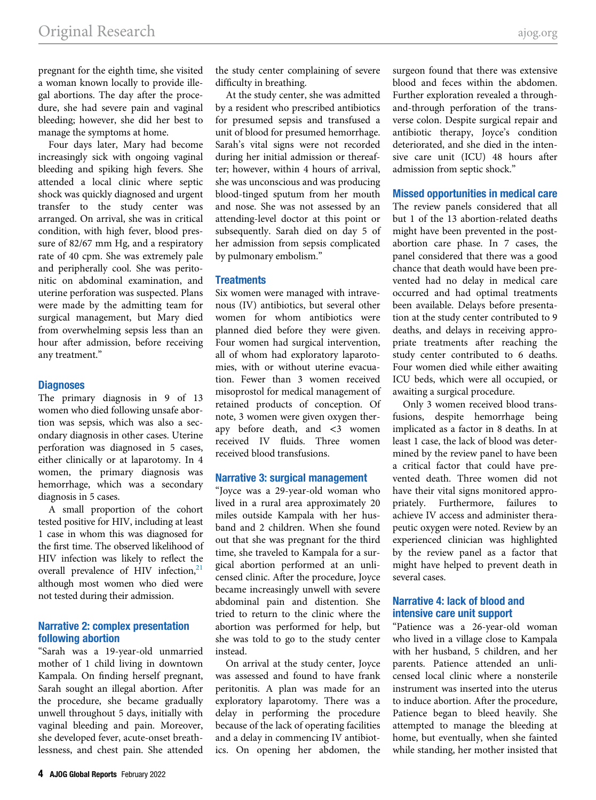pregnant for the eighth time, she visited a woman known locally to provide illegal abortions. The day after the procedure, she had severe pain and vaginal bleeding; however, she did her best to manage the symptoms at home.

Four days later, Mary had become increasingly sick with ongoing vaginal bleeding and spiking high fevers. She attended a local clinic where septic shock was quickly diagnosed and urgent transfer to the study center was arranged. On arrival, she was in critical condition, with high fever, blood pressure of 82/67 mm Hg, and a respiratory rate of 40 cpm. She was extremely pale and peripherally cool. She was peritonitic on abdominal examination, and uterine perforation was suspected. Plans were made by the admitting team for surgical management, but Mary died from overwhelming sepsis less than an hour after admission, before receiving any treatment."

#### **Diagnoses**

The primary diagnosis in 9 of 13 women who died following unsafe abortion was sepsis, which was also a secondary diagnosis in other cases. Uterine perforation was diagnosed in 5 cases, either clinically or at laparotomy. In 4 women, the primary diagnosis was hemorrhage, which was a secondary diagnosis in 5 cases.

A small proportion of the cohort tested positive for HIV, including at least 1 case in whom this was diagnosed for the first time. The observed likelihood of HIV infection was likely to reflect the overall prevalence of HIV infection, $21$ although most women who died were not tested during their admission.

## Narrative 2: complex presentation following abortion

"Sarah was a 19-year-old unmarried mother of 1 child living in downtown Kampala. On finding herself pregnant, Sarah sought an illegal abortion. After the procedure, she became gradually unwell throughout 5 days, initially with vaginal bleeding and pain. Moreover, she developed fever, acute-onset breathlessness, and chest pain. She attended

the study center complaining of severe difficulty in breathing.

At the study center, she was admitted by a resident who prescribed antibiotics for presumed sepsis and transfused a unit of blood for presumed hemorrhage. Sarah's vital signs were not recorded during her initial admission or thereafter; however, within 4 hours of arrival, she was unconscious and was producing blood-tinged sputum from her mouth and nose. She was not assessed by an attending-level doctor at this point or subsequently. Sarah died on day 5 of her admission from sepsis complicated by pulmonary embolism."

### **Treatments**

Six women were managed with intravenous (IV) antibiotics, but several other women for whom antibiotics were planned died before they were given. Four women had surgical intervention, all of whom had exploratory laparotomies, with or without uterine evacuation. Fewer than 3 women received misoprostol for medical management of retained products of conception. Of note, 3 women were given oxygen therapy before death, and <3 women received IV fluids. Three women received blood transfusions.

## Narrative 3: surgical management

"Joyce was a 29-year-old woman who lived in a rural area approximately 20 miles outside Kampala with her husband and 2 children. When she found out that she was pregnant for the third time, she traveled to Kampala for a surgical abortion performed at an unlicensed clinic. After the procedure, Joyce became increasingly unwell with severe abdominal pain and distention. She tried to return to the clinic where the abortion was performed for help, but she was told to go to the study center instead.

On arrival at the study center, Joyce was assessed and found to have frank peritonitis. A plan was made for an exploratory laparotomy. There was a delay in performing the procedure because of the lack of operating facilities and a delay in commencing IV antibiotics. On opening her abdomen, the

surgeon found that there was extensive blood and feces within the abdomen. Further exploration revealed a throughand-through perforation of the transverse colon. Despite surgical repair and antibiotic therapy, Joyce's condition deteriorated, and she died in the intensive care unit (ICU) 48 hours after admission from septic shock."

### Missed opportunities in medical care

The review panels considered that all but 1 of the 13 abortion-related deaths might have been prevented in the postabortion care phase. In 7 cases, the panel considered that there was a good chance that death would have been prevented had no delay in medical care occurred and had optimal treatments been available. Delays before presentation at the study center contributed to 9 deaths, and delays in receiving appropriate treatments after reaching the study center contributed to 6 deaths. Four women died while either awaiting ICU beds, which were all occupied, or awaiting a surgical procedure.

Only 3 women received blood transfusions, despite hemorrhage being implicated as a factor in 8 deaths. In at least 1 case, the lack of blood was determined by the review panel to have been a critical factor that could have prevented death. Three women did not have their vital signs monitored appropriately. Furthermore, failures to achieve IV access and administer therapeutic oxygen were noted. Review by an experienced clinician was highlighted by the review panel as a factor that might have helped to prevent death in several cases.

# Narrative 4: lack of blood and intensive care unit support

"Patience was a 26-year-old woman who lived in a village close to Kampala with her husband, 5 children, and her parents. Patience attended an unlicensed local clinic where a nonsterile instrument was inserted into the uterus to induce abortion. After the procedure, Patience began to bleed heavily. She attempted to manage the bleeding at home, but eventually, when she fainted while standing, her mother insisted that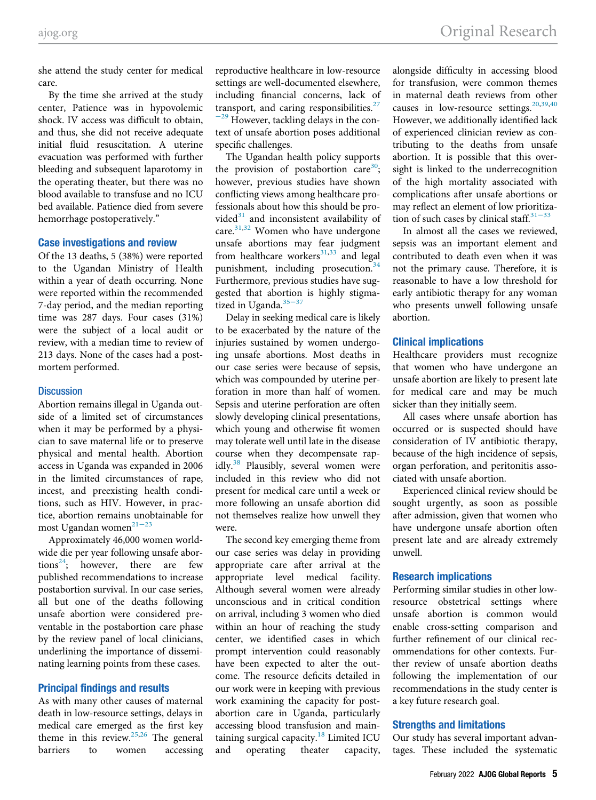she attend the study center for medical care.

By the time she arrived at the study center, Patience was in hypovolemic shock. IV access was difficult to obtain, and thus, she did not receive adequate initial fluid resuscitation. A uterine evacuation was performed with further bleeding and subsequent laparotomy in the operating theater, but there was no blood available to transfuse and no ICU bed available. Patience died from severe hemorrhage postoperatively."

# Case investigations and review

Of the 13 deaths, 5 (38%) were reported to the Ugandan Ministry of Health within a year of death occurring. None were reported within the recommended 7-day period, and the median reporting time was 287 days. Four cases (31%) were the subject of a local audit or review, with a median time to review of 213 days. None of the cases had a postmortem performed.

#### **Discussion**

Abortion remains illegal in Uganda outside of a limited set of circumstances when it may be performed by a physician to save maternal life or to preserve physical and mental health. Abortion access in Uganda was expanded in 2006 in the limited circumstances of rape, incest, and preexisting health conditions, such as HIV. However, in practice, abortion remains unobtainable for most Ugandan women $^{21-23}$  $^{21-23}$  $^{21-23}$ 

Approximately 46,000 women worldwide die per year following unsafe abortions<sup>24</sup>; however, there are few published recommendations to increase postabortion survival. In our case series, all but one of the deaths following unsafe abortion were considered preventable in the postabortion care phase by the review panel of local clinicians, underlining the importance of disseminating learning points from these cases.

#### Principal findings and results

As with many other causes of maternal death in low-resource settings, delays in medical care emerged as the first key theme in this review.<sup>[25,](#page-6-0)[26](#page-6-7)</sup> The general barriers to women accessing

reproductive healthcare in low-resource settings are well-documented elsewhere, including financial concerns, lack of transport, and caring responsibilities. $27$  $^{-29}$  $^{-29}$  $^{-29}$  However, tackling delays in the context of unsafe abortion poses additional specific challenges.

The Ugandan health policy supports the provision of postabortion care<sup>[30](#page-6-9)</sup>; however, previous studies have shown conflicting views among healthcare professionals about how this should be provided $31$  and inconsistent availability of care. $31,32$  $31,32$  Women who have undergone unsafe abortions may fear judgment from healthcare workers $31,33$  $31,33$  and legal punishment, including prosecution. $34$ Furthermore, previous studies have suggested that abortion is highly stigma-tized in Uganda.<sup>[35](#page-6-13)–37</sup>

Delay in seeking medical care is likely to be exacerbated by the nature of the injuries sustained by women undergoing unsafe abortions. Most deaths in our case series were because of sepsis, which was compounded by uterine perforation in more than half of women. Sepsis and uterine perforation are often slowly developing clinical presentations, which young and otherwise fit women may tolerate well until late in the disease course when they decompensate rap-idly.<sup>[38](#page-6-14)</sup> Plausibly, several women were included in this review who did not present for medical care until a week or more following an unsafe abortion did not themselves realize how unwell they were.

The second key emerging theme from our case series was delay in providing appropriate care after arrival at the appropriate level medical facility. Although several women were already unconscious and in critical condition on arrival, including 3 women who died within an hour of reaching the study center, we identified cases in which prompt intervention could reasonably have been expected to alter the outcome. The resource deficits detailed in our work were in keeping with previous work examining the capacity for postabortion care in Uganda, particularly accessing blood transfusion and main-taining surgical capacity.<sup>[18](#page-6-2)</sup> Limited ICU and operating theater capacity,

alongside difficulty in accessing blood for transfusion, were common themes in maternal death reviews from other causes in low-resource settings.<sup>[20](#page-6-4)[,39](#page-6-15),[40](#page-6-16)</sup> However, we additionally identified lack of experienced clinician review as contributing to the deaths from unsafe abortion. It is possible that this oversight is linked to the underrecognition of the high mortality associated with complications after unsafe abortions or may reflect an element of low pri[oritiza](#page-6-10)tion of such cases by clinical staff. $31-33$ 

In almost all the cases we reviewed, sepsis was an important element and contributed to death even when it was not the primary cause. Therefore, it is reasonable to have a low threshold for early antibiotic therapy for any woman who presents unwell following unsafe abortion.

# Clinical implications

Healthcare providers must recognize that women who have undergone an unsafe abortion are likely to present late for medical care and may be much sicker than they initially seem.

All cases where unsafe abortion has occurred or is suspected should have consideration of IV antibiotic therapy, because of the high incidence of sepsis, organ perforation, and peritonitis associated with unsafe abortion.

Experienced clinical review should be sought urgently, as soon as possible after admission, given that women who have undergone unsafe abortion often present late and are already extremely unwell.

#### Research implications

Performing similar studies in other lowresource obstetrical settings where unsafe abortion is common would enable cross-setting comparison and further refinement of our clinical recommendations for other contexts. Further review of unsafe abortion deaths following the implementation of our recommendations in the study center is a key future research goal.

#### Strengths and limitations

Our study has several important advantages. These included the systematic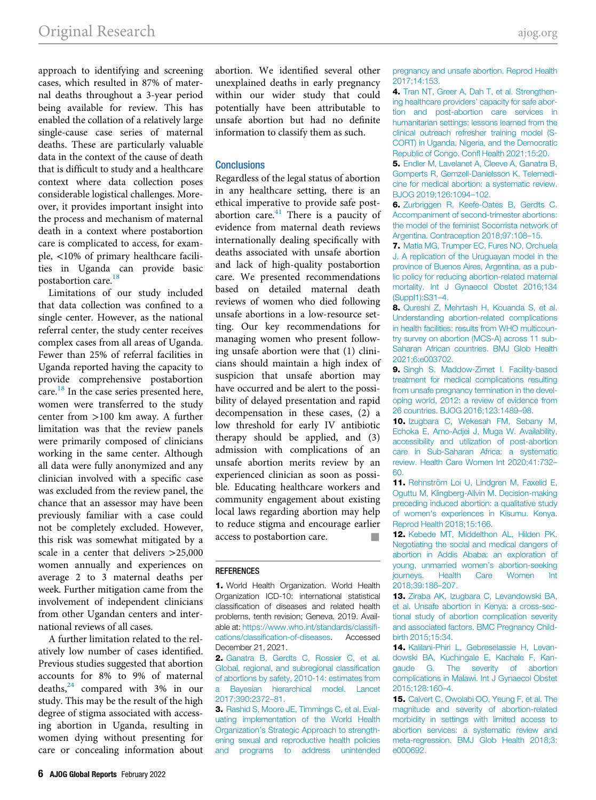<span id="page-5-3"></span>approach to identifying and screening cases, which resulted in 87% of maternal deaths throughout a 3-year period being available for review. This has enabled the collation of a relatively large single-cause case series of maternal deaths. These are particularly valuable data in the context of the cause of death that is difficult to study and a healthcare context where data collection poses considerable logistical challenges. Moreover, it provides important insight into the process and mechanism of maternal death in a context where postabortion care is complicated to access, for example, <10% of primary healthcare facilities in Uganda can provide basic postabortion care.<sup>[18](#page-6-2)</sup>

<span id="page-5-9"></span><span id="page-5-8"></span><span id="page-5-7"></span><span id="page-5-6"></span><span id="page-5-5"></span>Limitations of our study included that data collection was confined to a single center. However, as the national referral center, the study center receives complex cases from all areas of Uganda. Fewer than 25% of referral facilities in Uganda reported having the capacity to provide comprehensive postabortion care. $^{18}$  In the case series presented here, women were transferred to the study center from >100 km away. A further limitation was that the review panels were primarily composed of clinicians working in the same center. Although all data were fully anonymized and any clinician involved with a specific case was excluded from the review panel, the chance that an assessor may have been previously familiar with a case could not be completely excluded. However, this risk was somewhat mitigated by a scale in a center that delivers >25,000 women annually and experiences on average 2 to 3 maternal deaths per week. Further mitigation came from the involvement of independent clinicians from other Ugandan centers and international reviews of all cases.

<span id="page-5-12"></span><span id="page-5-2"></span><span id="page-5-1"></span><span id="page-5-0"></span>A further limitation related to the relatively low number of cases identified. Previous studies suggested that abortion accounts for 8% to 9% of maternal deaths, $24$  compared with 3% in our study. This may be the result of the high degree of stigma associated with accessing abortion in Uganda, resulting in women dying without presenting for care or concealing information about abortion. We identified several other unexplained deaths in early pregnancy within our wider study that could potentially have been attributable to unsafe abortion but had no definite information to classify them as such.

# <span id="page-5-4"></span>**Conclusions**

Regardless of the legal status of abortion in any healthcare setting, there is an ethical imperative to provide safe postabortion care. $41$  There is a paucity of evidence from maternal death reviews internationally dealing specifically with deaths associated with unsafe abortion and lack of high-quality postabortion care. We presented recommendations based on detailed maternal death reviews of women who died following unsafe abortions in a low-resource setting. Our key recommendations for managing women who present following unsafe abortion were that (1) clinicians should maintain a high index of suspicion that unsafe abortion may have occurred and be alert to the possibility of delayed presentation and rapid decompensation in these cases, (2) a low threshold for early IV antibiotic therapy should be applied, and (3) admission with complications of an unsafe abortion merits review by an experienced clinician as soon as possible. Educating healthcare workers and community engagement about existing local laws regarding abortion may help to reduce stigma and encourage earlier access to postabortion care.

#### <span id="page-5-11"></span><span id="page-5-10"></span>REFERENCES

1. World Health Organization. World Health Organization ICD-10: international statistical classification of diseases and related health problems, tenth revision; Geneva. 2019. Available at: [https://www.who.int/standards/classi](https://www.who.int/standards/classifications/classification-of-diseases)fications/classifi[cation-of-diseases.](https://www.who.int/standards/classifications/classification-of-diseases) Accessed December 21, 2021.

3. [Rashid S, Moore JE, Timmings C, et al. Eval](http://refhub.elsevier.com/S2666-5778(21)00037-X/sbref0003)[uating implementation of the World Health](http://refhub.elsevier.com/S2666-5778(21)00037-X/sbref0003) Organization'[s Strategic Approach to strength](http://refhub.elsevier.com/S2666-5778(21)00037-X/sbref0003)[ening sexual and reproductive health policies](http://refhub.elsevier.com/S2666-5778(21)00037-X/sbref0003) [and programs to address unintended](http://refhub.elsevier.com/S2666-5778(21)00037-X/sbref0003) [pregnancy and unsafe abortion. Reprod Health](http://refhub.elsevier.com/S2666-5778(21)00037-X/sbref0003) [2017;14:153.](http://refhub.elsevier.com/S2666-5778(21)00037-X/sbref0003)

4. [Tran NT, Greer A, Dah T, et al. Strengthen](http://refhub.elsevier.com/S2666-5778(21)00037-X/sbref0004)[ing healthcare providers](http://refhub.elsevier.com/S2666-5778(21)00037-X/sbref0004)' capacity for safe abor[tion and post-abortion care services in](http://refhub.elsevier.com/S2666-5778(21)00037-X/sbref0004) [humanitarian settings: lessons learned from the](http://refhub.elsevier.com/S2666-5778(21)00037-X/sbref0004) [clinical outreach refresher training model \(S-](http://refhub.elsevier.com/S2666-5778(21)00037-X/sbref0004)[CORT\) in Uganda, Nigeria, and the Democratic](http://refhub.elsevier.com/S2666-5778(21)00037-X/sbref0004) [Republic of Congo. Con](http://refhub.elsevier.com/S2666-5778(21)00037-X/sbref0004)fl Health 2021;15:20.

5. [Endler M, Lavelanet A, Cleeve A, Ganatra B,](http://refhub.elsevier.com/S2666-5778(21)00037-X/sbref0005) [Gomperts R, Gemzell-Danielsson K. Telemedi](http://refhub.elsevier.com/S2666-5778(21)00037-X/sbref0005)[cine for medical abortion: a systematic review.](http://refhub.elsevier.com/S2666-5778(21)00037-X/sbref0005) [BJOG 2019;126:1094](http://refhub.elsevier.com/S2666-5778(21)00037-X/sbref0005)–102.

6. [Zurbriggen R, Keefe-Oates B, Gerdts C.](http://refhub.elsevier.com/S2666-5778(21)00037-X/sbref0006) [Accompaniment of second-trimester abortions:](http://refhub.elsevier.com/S2666-5778(21)00037-X/sbref0006) [the model of the feminist Socorrista network of](http://refhub.elsevier.com/S2666-5778(21)00037-X/sbref0006) [Argentina. Contraception 2018;97:108](http://refhub.elsevier.com/S2666-5778(21)00037-X/sbref0006)–15.

7. [Matía MG, Trumper EC, Fures NO, Orchuela](http://refhub.elsevier.com/S2666-5778(21)00037-X/sbref0007) [J. A replication of the Uruguayan model in the](http://refhub.elsevier.com/S2666-5778(21)00037-X/sbref0007) [province of Buenos Aires, Argentina, as a pub](http://refhub.elsevier.com/S2666-5778(21)00037-X/sbref0007)[lic policy for reducing abortion-related maternal](http://refhub.elsevier.com/S2666-5778(21)00037-X/sbref0007) [mortality. Int J Gynaecol Obstet 2016;134](http://refhub.elsevier.com/S2666-5778(21)00037-X/sbref0007) [\(Suppl1\):S31](http://refhub.elsevier.com/S2666-5778(21)00037-X/sbref0007)–4.

8. [Qureshi Z, Mehrtash H, Kouanda S, et al.](http://refhub.elsevier.com/S2666-5778(21)00037-X/sbref0008) [Understanding abortion-related complications](http://refhub.elsevier.com/S2666-5778(21)00037-X/sbref0008) [in health facilities: results from WHO multicoun](http://refhub.elsevier.com/S2666-5778(21)00037-X/sbref0008)[try survey on abortion \(MCS-A\) across 11 sub-](http://refhub.elsevier.com/S2666-5778(21)00037-X/sbref0008)[Saharan African countries. BMJ Glob Health](http://refhub.elsevier.com/S2666-5778(21)00037-X/sbref0008) [2021;6:e003702.](http://refhub.elsevier.com/S2666-5778(21)00037-X/sbref0008)

9. [Singh S. Maddow-Zimet I. Facility-based](http://refhub.elsevier.com/S2666-5778(21)00037-X/sbref0009) [treatment for medical complications resulting](http://refhub.elsevier.com/S2666-5778(21)00037-X/sbref0009) [from unsafe pregnancy termination in the devel](http://refhub.elsevier.com/S2666-5778(21)00037-X/sbref0009)[oping world, 2012: a review of evidence from](http://refhub.elsevier.com/S2666-5778(21)00037-X/sbref0009) [26 countries. BJOG 2016;123:1489](http://refhub.elsevier.com/S2666-5778(21)00037-X/sbref0009)–98.

10. [Izugbara C, Wekesah FM, Sebany M,](http://refhub.elsevier.com/S2666-5778(21)00037-X/sbref0010) [Echoka E, Amo-Adjei J, Muga W. Availability,](http://refhub.elsevier.com/S2666-5778(21)00037-X/sbref0010) [accessibility and utilization of post-abortion](http://refhub.elsevier.com/S2666-5778(21)00037-X/sbref0010) [care in Sub-Saharan Africa: a systematic](http://refhub.elsevier.com/S2666-5778(21)00037-X/sbref0010) [review. Health Care Women Int 2020;41:732](http://refhub.elsevier.com/S2666-5778(21)00037-X/sbref0010)– [60.](http://refhub.elsevier.com/S2666-5778(21)00037-X/sbref0010)

11. Rehnström Loi U, Lindgren M, Faxelid E, [Oguttu M, Klingberg-Allvin M. Decision-making](http://refhub.elsevier.com/S2666-5778(21)00037-X/sbref0011) [preceding induced abortion: a qualitative study](http://refhub.elsevier.com/S2666-5778(21)00037-X/sbref0011) [of women's experiences in Kisumu. Kenya.](http://refhub.elsevier.com/S2666-5778(21)00037-X/sbref0011) [Reprod Health 2018;15:166.](http://refhub.elsevier.com/S2666-5778(21)00037-X/sbref0011)

12. [Kebede MT, Middelthon AL, Hilden PK.](http://refhub.elsevier.com/S2666-5778(21)00037-X/sbref0012) [Negotiating the social and medical dangers of](http://refhub.elsevier.com/S2666-5778(21)00037-X/sbref0012) [abortion in Addis Ababa: an exploration of](http://refhub.elsevier.com/S2666-5778(21)00037-X/sbref0012) [young, unmarried women](http://refhub.elsevier.com/S2666-5778(21)00037-X/sbref0012)'s abortion-seeking [journeys. Health Care Women Int](http://refhub.elsevier.com/S2666-5778(21)00037-X/sbref0012) [2018;39:186](http://refhub.elsevier.com/S2666-5778(21)00037-X/sbref0012)–207.

13. [Ziraba AK, Izugbara C, Levandowski BA,](http://refhub.elsevier.com/S2666-5778(21)00037-X/sbref0013) [et al. Unsafe abortion in Kenya: a cross-sec](http://refhub.elsevier.com/S2666-5778(21)00037-X/sbref0013)[tional study of abortion complication severity](http://refhub.elsevier.com/S2666-5778(21)00037-X/sbref0013) [and associated factors. BMC Pregnancy Child](http://refhub.elsevier.com/S2666-5778(21)00037-X/sbref0013)[birth 2015;15:34.](http://refhub.elsevier.com/S2666-5778(21)00037-X/sbref0013)

14. [Kalilani-Phiri L, Gebreselassie H, Levan](http://refhub.elsevier.com/S2666-5778(21)00037-X/sbref0014)[dowski BA, Kuchingale E, Kachale F, Kan](http://refhub.elsevier.com/S2666-5778(21)00037-X/sbref0014)[gaude G. The severity of abortion](http://refhub.elsevier.com/S2666-5778(21)00037-X/sbref0014) [complications in Malawi. Int J Gynaecol Obstet](http://refhub.elsevier.com/S2666-5778(21)00037-X/sbref0014) [2015;128:160](http://refhub.elsevier.com/S2666-5778(21)00037-X/sbref0014)–4.

15. [Calvert C, Owolabi OO, Yeung F, et al. The](http://refhub.elsevier.com/S2666-5778(21)00037-X/sbref0015) [magnitude and severity of abortion-related](http://refhub.elsevier.com/S2666-5778(21)00037-X/sbref0015) [morbidity in settings with limited access to](http://refhub.elsevier.com/S2666-5778(21)00037-X/sbref0015) [abortion services: a systematic review and](http://refhub.elsevier.com/S2666-5778(21)00037-X/sbref0015) [meta-regression. BMJ Glob Health 2018;3:](http://refhub.elsevier.com/S2666-5778(21)00037-X/sbref0015) [e000692.](http://refhub.elsevier.com/S2666-5778(21)00037-X/sbref0015)

<sup>2.</sup> [Ganatra B, Gerdts C, Rossier C, et al.](http://refhub.elsevier.com/S2666-5778(21)00037-X/sbref0002) [Global, regional, and subregional classi](http://refhub.elsevier.com/S2666-5778(21)00037-X/sbref0002)fication [of abortions by safety, 2010-14: estimates from](http://refhub.elsevier.com/S2666-5778(21)00037-X/sbref0002) [a Bayesian hierarchical model. Lancet](http://refhub.elsevier.com/S2666-5778(21)00037-X/sbref0002) [2017;390:2372](http://refhub.elsevier.com/S2666-5778(21)00037-X/sbref0002)–81.